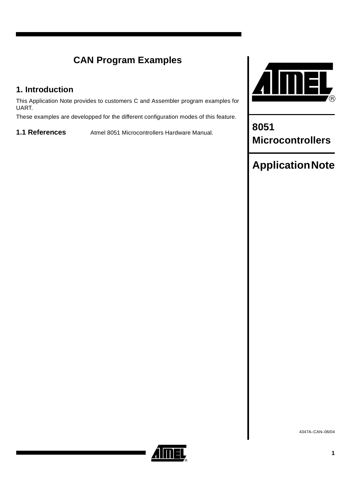# **CAN Program Examples**

## **1. Introduction**

This Application Note provides to customers C and Assembler program examples for UART.

These examples are developped for the different configuration modes of this feature.

**1.1 References** Atmel 8051 Microcontrollers Hardware Manual. **8051** 



**Microcontrollers**

# **Application Note**

4347A–CAN–06/04

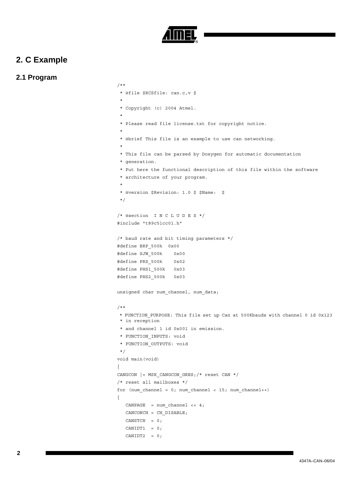

### **2. C Example**

### **2.1 Program**

```
/**
  * @file $RCSfile: can.c,v $
 *
  * Copyright (c) 2004 Atmel.
 *
  * Please read file license.txt for copyright notice.
 *
  * @brief This file is an example to use can networking.
 *
  * This file can be parsed by Doxygen for automatic documentation
  * generation.
  * Put here the functional description of this file within the software
  * architecture of your program.
 *
  * @version $Revision: 1.0 $ $Name: $
  */
/* @section I N C L U D E S */
#include "t89c51cc01.h"
/* baud rate and bit timing parameters */
#define BRP_500k 0x00
#define SJW_500k 0x00
#define PRS_500k 0x02
#define PHS1_500k 0x03
#define PHS2_500k 0x03
unsigned char num channel, num data;
/**
 * FUNCTION_PURPOSE: This file set up Can at 500Kbauds with channel 0 id 0x123 
 * in reception
  * and channel 1 id 0x001 in emission.
  * FUNCTION_INPUTS: void
  * FUNCTION_OUTPUTS: void
  */
void main(void)
{
CANGCON |= MSK_CANGCON_GRES;/* reset CAN */ 
/* reset all mailboxes */
for (num channel = 0; num channel < 15; num channel++)
{
   CANPAGE = num channel << 4;
   CANCONCH = CH_DISABLE;
   CANSTCH = 0;CANIDT1 = 0;CANIDT2 = 0;
```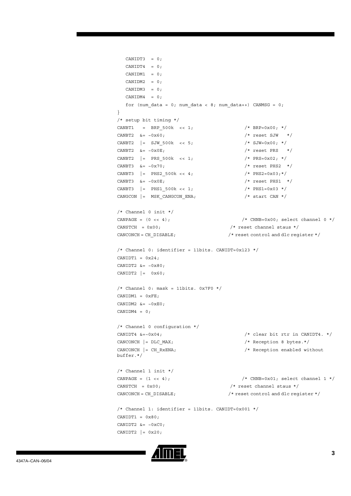```
CANIDT3 = 0;CANIDT4 = 0;CANIDM1 = 0;CANIDM2 = 0;CANIDM3 = 0;CANIDM4 = 0;for (num data = 0; num data < 8; num data++) CANMSG = 0;
}
/* setup bit timing */
CANBT1 = BRP 500k << 1; /* BRP = 0x00; */CANBT2 \&= \sim 0 \times 60; \frac{1}{\sqrt{25}} /* reset SJW */
CANBT2 | = SJW_500k << 5; /* SJW=0x00; */
CANBT2 &= \sim 0 \times 0E; /* reset PRS */CANBT2 | = PRS 500k << 1; /* PRS=0x02; */
CANBT3 \&= \sim 0 \times 70; \frac{1}{\sqrt{1 - \frac{1}{\sqrt{1 - \frac{1}{\sqrt{1 - \frac{1}{\sqrt{1 - \frac{1}{\sqrt{1 - \frac{1}{\sqrt{1 - \frac{1}{\sqrt{1 - \frac{1}{\sqrt{1 - \frac{1}{\sqrt{1 - \frac{1}{\sqrt{1 - \frac{1}{\sqrt{1 - \frac{1}{\sqrt{1 - \frac{1}{\sqrt{1 - \frac{1}{\sqrt{1 - \frac{1}{\sqrt{1 - \frac{1}{\sqrt{1 - \frac{1}{\sqrt{1 - \frac{1}{\sqrt{1 - \frac{1}{\sqrt{1 - \frac{1}{\sqrtCANBT3 | = PHS2 500k << 4; /* PHS2=0x03;*/
CANBT3 &= ~0x0E; /* reset PHS1 */
CANBT3 | = PHS1 500k << 1; / /* PHS1=0x03 */
CANGCON | = MSK CANGCON ENA; / /* start CAN */
/* Channel 0 init */
CANPAGE = (0 \ll 4); \frac{1}{2} /* CHNB=0x00; select channel 0 */
CANSTCH = 0x00; \frac{1}{x} reset channel staus \frac{x}{x}CANCONCH = CH_DISABLE; /* reset control and dlc register */ 
/* Channel 0: identifier = 11bits. CANIDT=0x123 */
CANIDT1 = 0x24;CANIDT2 &=-0x80;CANIDT2 |= 0x60;/* Channel 0: mask = 11bits. 0x7F0 */CANIDM1 = 0xFE;CANIDM2 &=-0xE0;CANIDM4 = 0;/* Channel 0 configuration */
CANIDT4 \&xi = \sim 0 \times 04;
CANCONCH | = DLC_MAX; / * Reception 8 bytes.*/
CANCONCH | = \text{CH } Rx\text{EMA}; / Reception enabled without
buffer.*/
/* Channel 1 init */CANPAGE = (1 \lt \lt 4);
CANSTCH = 0x00; \qquad \qquad /* reset channel staus */
CANCONCH = CH_DISABLE; /* reset control and dlc register */ 
/* Channel 1: identifier = 11bits. CANIDT=0x001 */
CANIDT1 = 0x80;CANIDT2 &=-0xC0;CANIDT2 |= 0x20;
```
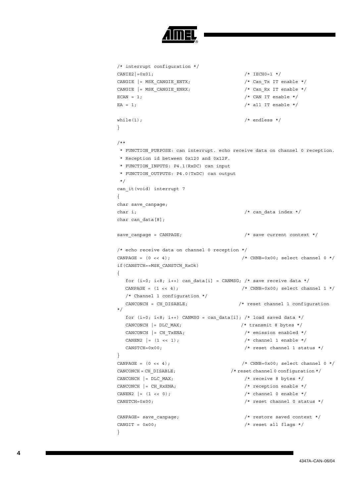```
/* interrupt configuration */
CANIE2| = 0x01; /* IECH0=1 */
CANGIE | = MSK CANGIE ENTX; / / Can Tx IT enable */
CANGIE |= MSK CANGIE ENRX; / / Can Rx IT enable */
ECAN = 1; \angle /* CAN IT enable */
EA = 1; \sqrt{\star} all IT enable \star/
while(1); \sqrt{\frac{1}{\pi}} endless \frac{1}{\pi} /* endless \frac{1}{\pi}}
/**
 * FUNCTION_PURPOSE: can interrupt. echo receive data on channel 0 reception.
 * Reception id between 0x120 and 0x12F.
  * FUNCTION_INPUTS: P4.1(RxDC) can input
  * FUNCTION_OUTPUTS: P4.0(TxDC) can output 
  */
can_it(void) interrupt 7
{
char save_canpage;
char i; \frac{1}{x} can data index */
char can data[8];
save_canpage = CANPAGE; \qquad \qquad /* save current context */
/* echo receive data on channel 0 reception */
CANPAGE = (0 \lt \lt 4); \angle /* CHNB=0x00; select channel 0 */
if(CANSTCH==MSK_CANSTCH_RxOk) 
{
  for (i=0; i<8; i++) can_data[i] = CANMSG; /* save receive data */
  CANPAGE = (1 \lt \lt 4); \angle CHNB=0x00; select channel 1 */
    /* Channel 1 configuration */
  CANCONCH = CH_DISABLE; /* reset channel 1 configuration
*/ 
  for (i=0; i<8; i++) CANMSG = can data[i]; /* load saved data */
  CANCONCH | = DLC MAX; / transmit 8 bytes */
  CANCONCH | = CH_TxENA; /* emission enabled */
  CANEN2 = (1 \lt \lt 1); \angle thannel 1 enable */
  \text{CANSTCH} = 0 \times 00; \qquad \qquad \qquad \qquad \qquad \qquad \qquad \qquad \qquad \qquad \qquad \qquad \qquad \qquad \qquad \qquad \qquad \qquad \qquad \qquad \qquad \qquad \qquad \qquad \qquad \qquad \qquad \qquad \qquad \qquad \qquad \qquad \qquad \qquad \qquad \qquad \qquad \qquad \qquad \qquad \qquad \qquad \q}
CANPAGE = (0 \ltimes 4); \angle CHNB=0x00; select channel 0 */
CANCONCH = CH_DISABLE; \frac{1}{2} /* reset channel 0 configuration */
CANCONCH | = DLC MAX; / /* receive 8 bytes */
CANCONCH | = \text{CH RxENA}; /* reception enable */
CANEN2 = (1 \le 0); /* channel 0 enable */
CANSTCH=0x00; /* reset channel 0 status */CANPAGE= save canpage; \overrightarrow{ } /* restore saved context */
CANGIT = 0x00; \frac{1}{x} reset all flags \frac{x}{x}}
```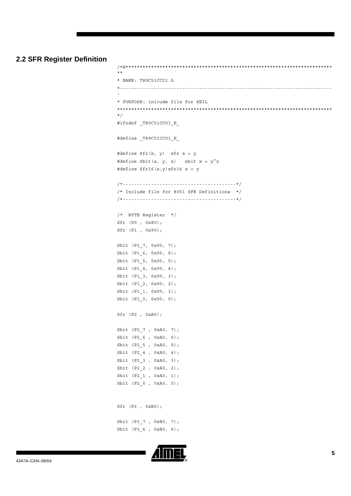#### **2.2 SFR Register Definition**

```
/*H*************************************************************************
**
* NAME: T89C51CC01.h 
*---------------------------------------------------------------------------
-
* PURPOSE: inlcude file for KEIL
****************************************************************************
*/
#ifndef _T89C51CC01_H_
#define _T89C51CC01_H_
#define Sfr(x, y) sfr x = y
#define Sbit(x, y, z) sbit x = y^2z#define Sfr16(x,y)sfr16 x = y/*----------------------------------------*/
/* Include file for 8051 SFR Definitions */
/*----------------------------------------*/
/* BYTE Register */
Sfr (P0 , 0x80);
Sfr (P1 , 0x90);
Sbit (P1_7, 0x90, 7);
Sbit (P1_6, 0x90, 6);
Sbit (P1_5, 0x90, 5);
Sbit (P1_4, 0x90, 4);
Sbit (P1_3, 0x90, 3);
Sbit (P1 2, 0x90, 2);
Sbit (P1_1, 0x90, 1);
Sbit (P1 0, 0x90, 0);
Sfr (P2 , 0xA0);
Sbit (P2_7 , 0xA0, 7);
Sbit (P2_6 , 0xA0, 6);
Sbit (P2_5 , 0xA0, 5);
Sbit (P2_4 , 0xA0, 4);
Sbit (P2_3 , 0xA0, 3);
Sbit (P2 2, 0xA0, 2);
Sbit (P2_1 , 0xA0, 1);
Sbit (P2_0 , 0xA0, 0);
Sfr (P3 , 0xB0);
Sbit (P3 7 , 0xB0, 7);
Sbit (P3_6 , 0xB0, 6);
```
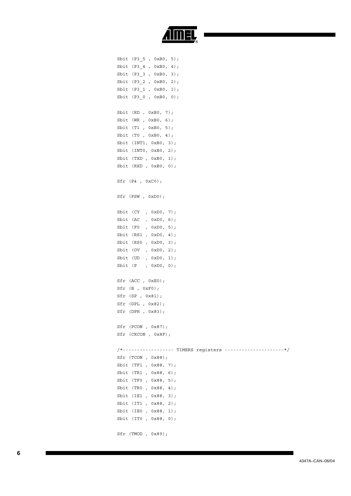

Sbit (P3\_5 , 0xB0, 5); Sbit (P3\_4 , 0xB0, 4); Sbit (P3\_3 , 0xB0, 3); Sbit (P3 2 , 0xB0, 2); Sbit (P3\_1 , 0xB0, 1); Sbit (P3\_0 , 0xB0, 0); Sbit (RD , 0xB0, 7); Sbit (WR , 0xB0, 6); Sbit (T1 , 0xB0, 5); Sbit (T0 , 0xB0, 4); Sbit (INT1, 0xB0, 3); Sbit (INT0, 0xB0, 2); Sbit (TXD , 0xB0, 1); Sbit (RXD , 0xB0, 0); Sfr (P4 , 0xC0); Sfr (PSW , 0xD0); Sbit (CY , 0xD0, 7); Sbit (AC , 0xD0, 6); Sbit (F0 , 0xD0, 5); Sbit (RS1 , 0xD0, 4); Sbit (RS0 , 0xD0, 3); Sbit (OV , 0xD0, 2); Sbit (UD , 0xD0, 1); Sbit (P , 0xD0, 0); Sfr (ACC , 0xE0); Sfr (B , 0xF0); Sfr (SP , 0x81); Sfr (DPL , 0x82); Sfr (DPH , 0x83); Sfr (PCON , 0x87); Sfr (CKCON , 0x8F); /\*------------------ TIMERS registers ---------------------\*/ Sfr (TCON , 0x88); Sbit (TF1 , 0x88, 7); Sbit (TR1 , 0x88, 6); Sbit (TF0 , 0x88, 5); Sbit (TR0 , 0x88, 4); Sbit (IE1 , 0x88, 3); Sbit (IT1 , 0x88, 2); Sbit (IE0 , 0x88, 1); Sbit (IT0 , 0x88, 0); Sfr (TMOD , 0x89);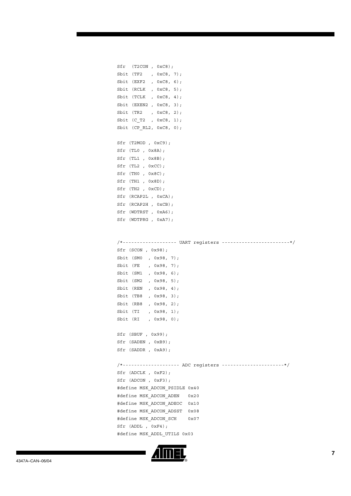| $Sfr$ (T2CON, $0xC8$ ); |  |  |
|-------------------------|--|--|
| Sbit (TF2, 0xC8, 7);    |  |  |
| Sbit (EXF2, 0xC8, 6);   |  |  |
| Sbit (RCLK, 0xC8, 5);   |  |  |
| Sbit (TCLK, 0xC8, 4);   |  |  |
| Sbit (EXEN2, 0xC8, 3);  |  |  |
| Sbit (TR2, 0xC8, 2);    |  |  |
| Sbit $(C_T2, 0xC8, 1);$ |  |  |
| Sbit (CP_RL2, 0xC8, 0); |  |  |
|                         |  |  |
| Sfr (T2MOD, 0xC9);      |  |  |
| $Sfr$ (TLO, $0x8A$ );   |  |  |
| Sfr (TL1, 0x8B);        |  |  |
| $Sfr$ (TL2, $0xCC$ );   |  |  |
| $Sfr$ (THO, $0x8C$ );   |  |  |
| Sfr (TH1, 0x8D);        |  |  |
| $Sfr$ (TH2, $0xCD$ );   |  |  |
| Sfr (RCAP2L, 0xCA);     |  |  |
| Sfr (RCAP2H, 0xCB);     |  |  |
| Sfr (WDTRST, 0xA6);     |  |  |
| Sfr (WDTPRG, 0xA7);     |  |  |

/\*------------------- UART registers ------------------------\*/ Sfr (SCON , 0x98); Sbit (SM0 , 0x98, 7); Sbit (FE , 0x98, 7); Sbit (SM1 , 0x98, 6); Sbit (SM2 , 0x98, 5); Sbit (REN , 0x98, 4); Sbit (TB8 , 0x98, 3); Sbit (RB8 , 0x98, 2); Sbit (TI , 0x98, 1); Sbit (RI , 0x98, 0); Sfr (SBUF , 0x99); Sfr (SADEN , 0xB9); Sfr (SADDR , 0xA9); /\*-------------------- ADC registers ----------------------\*/ Sfr (ADCLK , 0xF2); Sfr (ADCON , 0xF3); #define MSK\_ADCON\_PSIDLE 0x40 #define MSK\_ADCON\_ADEN 0x20 #define MSK\_ADCON\_ADEOC 0x10 #define MSK\_ADCON\_ADSST 0x08 #define MSK\_ADCON\_SCH 0x07 Sfr (ADDL , 0xF4); #define MSK\_ADDL\_UTILS 0x03

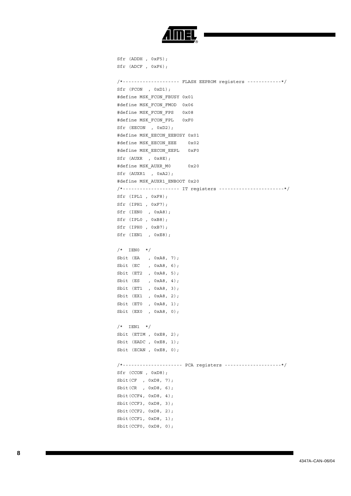

Sfr (ADDH , 0xF5); Sfr (ADCF , 0xF6); /\*-------------------- FLASH EEPROM registers ------------\*/ Sfr (FCON , 0xD1); #define MSK\_FCON\_FBUSY 0x01 #define MSK\_FCON\_FMOD 0x06 #define MSK\_FCON\_FPS 0x08 #define MSK\_FCON\_FPL 0xF0 Sfr (EECON , 0xD2); #define MSK\_EECON\_EEBUSY 0x01 #define MSK\_EECON\_EEE 0x02 #define MSK\_EECON\_EEPL 0xF0 Sfr (AUXR , 0x8E); #define MSK\_AUXR\_M0 0x20 Sfr (AUXR1 , 0xA2); #define MSK\_AUXR1\_ENBOOT 0x20 /\*-------------------- IT registers -----------------------\*/ Sfr (IPL1 , 0xF8); Sfr (IPH1 , 0xF7); Sfr (IEN0 , 0xA8); Sfr (IPL0 , 0xB8); Sfr (IPH0 , 0xB7); Sfr (IEN1 , 0xE8);  $/*$  IENO  $*/$ Sbit (EA , 0xA8, 7); Sbit (EC , 0xA8, 6); Sbit (ET2 , 0xA8, 5); Sbit (ES , 0xA8, 4); Sbit (ET1 , 0xA8, 3); Sbit (EX1 , 0xA8, 2); Sbit (ET0 , 0xA8, 1); Sbit (EX0 , 0xA8, 0);  $/*$  IEN1  $*/$ Sbit (ETIM , 0xE8, 2); Sbit (EADC, 0xE8, 1); Sbit (ECAN , 0xE8, 0); /\*--------------------- PCA registers --------------------\*/ Sfr (CCON , 0xD8); Sbit(CF , 0xD8, 7); Sbit(CR , 0xD8, 6); Sbit(CCF4, 0xD8, 4); Sbit(CCF3, 0xD8, 3); Sbit(CCF2, 0xD8, 2); Sbit(CCF1, 0xD8, 1); Sbit(CCF0, 0xD8, 0);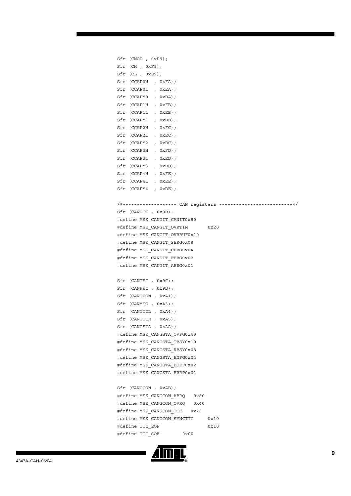| Sfr (CMOD, 0xD9);                                                                                                 |      |
|-------------------------------------------------------------------------------------------------------------------|------|
| $Sfr$ (CH, $0xF9$ );                                                                                              |      |
| Sfr (CL, 0xE9);                                                                                                   |      |
| Sfr (CCAPOH, OxFA);                                                                                               |      |
| Sfr (CCAPOL , OXEA);                                                                                              |      |
| Sfr (CCAPM0, 0xDA);                                                                                               |      |
| Sfr (CCAP1H, OxFB);                                                                                               |      |
| Sfr (CCAP1L , 0xEB);                                                                                              |      |
| Sfr (CCAPM1, 0xDB);                                                                                               |      |
| Sfr (CCAP2H, 0xFC);                                                                                               |      |
| Sfr (CCAP2L , 0xEC);                                                                                              |      |
| Sfr (CCAPM2, 0xDC);                                                                                               |      |
| Sfr (CCAP3H, 0xFD);                                                                                               |      |
| Sfr (CCAP3L , 0xED);                                                                                              |      |
| Sfr (CCAPM3, 0xDD);                                                                                               |      |
| $\begin{minipage}{.4\linewidth} \begin{tabular}{l} \bf Sfr & (CCAP4H & , 0 \tt xFE) \end{tabular} \end{minipage}$ |      |
| Sfr (CCAP4L , 0xEE);                                                                                              |      |
| Sfr (CCAPM4, 0xDE);                                                                                               |      |
|                                                                                                                   |      |
|                                                                                                                   |      |
| Sfr (CANGIT, 0x9B);                                                                                               |      |
| #define MSK_CANGIT_CANIT0x80                                                                                      |      |
| #define MSK CANGIT OVRTIM<br>0x20                                                                                 |      |
| #define MSK_CANGIT_OVRBUF0x10                                                                                     |      |
| #define MSK CANGIT SERG0x08                                                                                       |      |
| #define MSK_CANGIT_CERG0x04                                                                                       |      |
| #define MSK CANGIT FERG0x02                                                                                       |      |
| #define MSK CANGIT AERG0x01                                                                                       |      |
|                                                                                                                   |      |
| Sfr (CANTEC, 0x9C);                                                                                               |      |
| Sfr (CANREC, 0x9D);                                                                                               |      |
| Sfr (CANTCON, 0xA1);                                                                                              |      |
| Sfr (CANMSG, 0xA3);                                                                                               |      |
| Sfr (CANTTCL, 0xA4);                                                                                              |      |
| Sfr (CANTTCH, 0xA5);                                                                                              |      |
| Sfr (CANGSTA, 0xAA);                                                                                              |      |
| #define MSK CANGSTA OVFG0x40                                                                                      |      |
| #define MSK CANGSTA TBSY0x10                                                                                      |      |
| #define MSK CANGSTA RBSY0x08                                                                                      |      |
| #define MSK CANGSTA ENFG0x04                                                                                      |      |
| #define MSK CANGSTA BOFF0x02                                                                                      |      |
| #define MSK CANGSTA ERRP0x01                                                                                      |      |
|                                                                                                                   |      |
| Sfr (CANGCON, 0xAB);                                                                                              |      |
| #define MSK CANGCON ABRQ 0x80                                                                                     |      |
| #define MSK CANGCON OVRQ 0x40                                                                                     |      |
| #define MSK CANGCON TTC 0x20                                                                                      |      |
| #define MSK CANGCON SYNCTTC                                                                                       | 0x10 |
| #define TTC EOF                                                                                                   | 0x10 |
| #define TTC SOF<br>0x00                                                                                           |      |
|                                                                                                                   |      |

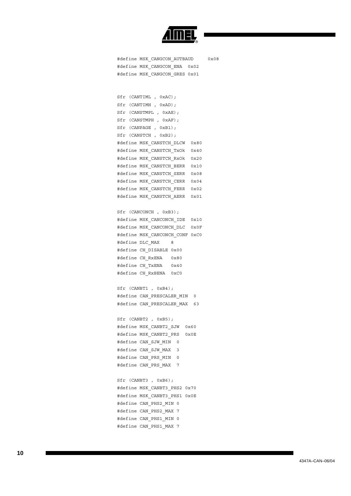

#define MSK CANGCON AUTBAUD 0x08 #define MSK\_CANGCON\_ENA 0x02 #define MSK\_CANGCON\_GRES 0x01

Sfr (CANTIML , 0xAC); Sfr (CANTIMH , 0xAD); Sfr (CANSTMPL , 0xAE); Sfr (CANSTMPH , 0xAF); Sfr (CANPAGE , 0xB1); Sfr (CANSTCH , 0xB2); #define MSK\_CANSTCH\_DLCW 0x80 #define MSK\_CANSTCH\_TxOk 0x40 #define MSK\_CANSTCH\_RxOk 0x20 #define MSK\_CANSTCH\_BERR 0x10 #define MSK\_CANSTCH\_SERR 0x08 #define MSK\_CANSTCH\_CERR 0x04 #define MSK\_CANSTCH\_FERR 0x02 #define MSK\_CANSTCH\_AERR 0x01

Sfr (CANCONCH , 0xB3); #define MSK\_CANCONCH\_IDE 0x10 #define MSK\_CANCONCH\_DLC 0x0F #define MSK\_CANCONCH\_CONF 0xC0 #define DLC\_MAX 8 #define CH\_DISABLE 0x00 #define CH\_RxENA 0x80 #define CH\_TxENA 0x40 #define CH\_RxBENA 0xC0

Sfr (CANBT1 , 0xB4); #define CAN PRESCALER MIN 0 #define CAN PRESCALER MAX 63

Sfr (CANBT2 , 0xB5); #define MSK\_CANBT2\_SJW 0x60 #define MSK\_CANBT2\_PRS 0x0E #define CAN\_SJW\_MIN 0 #define CAN\_SJW\_MAX 3 #define CAN\_PRS\_MIN 0 #define CAN\_PRS\_MAX 7

Sfr (CANBT3 , 0xB6); #define MSK\_CANBT3\_PHS2 0x70 #define MSK\_CANBT3\_PHS1 0x0E #define CAN\_PHS2\_MIN 0 #define CAN\_PHS2\_MAX 7 #define CAN\_PHS1\_MIN 0 #define CAN\_PHS1\_MAX 7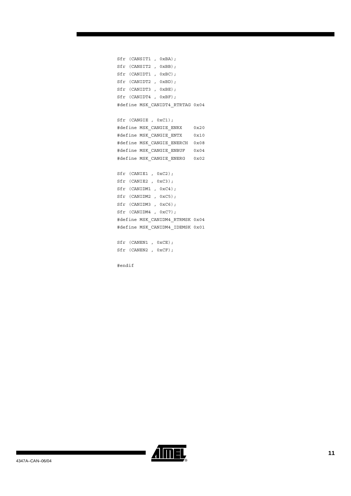Sfr (CANSIT1 , 0xBA); Sfr (CANSIT2 , 0xBB); Sfr (CANIDT1 , 0xBC); Sfr (CANIDT2 , 0xBD); Sfr (CANIDT3 , 0xBE); Sfr (CANIDT4 , 0xBF); #define MSK\_CANIDT4\_RTRTAG 0x04

Sfr (CANGIE , 0xC1); #define MSK\_CANGIE\_ENRX 0x20 #define MSK\_CANGIE\_ENTX 0x10 #define MSK\_CANGIE\_ENERCH 0x08 #define MSK\_CANGIE\_ENBUF 0x04 #define MSK\_CANGIE\_ENERG 0x02

Sfr (CANIE1 , 0xC2); Sfr (CANIE2 , 0xC3); Sfr (CANIDM1 , 0xC4); Sfr (CANIDM2 , 0xC5); Sfr (CANIDM3 , 0xC6); Sfr (CANIDM4 , 0xC7); #define MSK\_CANIDM4\_RTRMSK 0x04 #define MSK\_CANIDM4\_IDEMSK 0x01

Sfr (CANEN1, 0xCE); Sfr (CANEN2 , 0xCF);

#endif

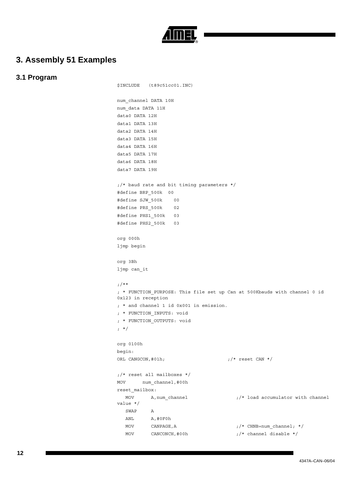

### **3. Assembly 51 Examples**

### **3.1 Program**

```
$INCLUDE (t89c51cc01.INC)
num_channel DATA 10H
num_data DATA 11H
data0 DATA 12H
data1 DATA 13H
data2 DATA 14H
data3 DATA 15H
data4 DATA 16H
data5 DATA 17H
data6 DATA 18H
data7 DATA 19H
;/* baud rate and bit timing parameters */#define BRP_500k 00
#define SJW_500k 00
#define PRS_500k 02
#define PHS1_500k 03
#define PHS2_500k 03
org 000h
ljmp begin
org 3Bh
ljmp can_it
;/**
; * FUNCTION_PURPOSE: This file set up Can at 500Kbauds with channel 0 id 
0x123 in reception
; * and channel 1 id 0x001 in emission.
; * FUNCTION_INPUTS: void
; * FUNCTION_OUTPUTS: void
; */
org 0100h
begin:
ORL CANGCON, #01h; \qquad \qquad \qquad ;/* \text{ reset CAN *} /;/* reset all mailboxes */
MOV num channel, #00h
reset mailbox:
    MOV A, num_channel \left| \begin{array}{ccc} \end{array} \right| ; /* load accumulator with channel
value */
    SWAP A
     ANL A,#0F0h
    \texttt{MOV} \qquad \texttt{CANPAGE}, \texttt{A} \qquad \qquad \texttt{;\textbf{/*} } \texttt{CHNB = num\_channel}; \;\; \texttt{*/} \qquad \qquad \texttt{[A] } \texttt{[A] } \texttt{[A] } \texttt{[A] } \texttt{[A] } \texttt{[A] } \texttt{[A] } \texttt{[A] } \texttt{[A] } \texttt{[A] } \texttt{[A] } \texttt{[A] } \texttt{[A] } \texttt{[A] } \texttt{[A] } \texttt{[A] } \texttt{[A] } \texttt{[A] } \texttt{[A] } \MOV CANCONCH, \#00h ;/* channel disable */
```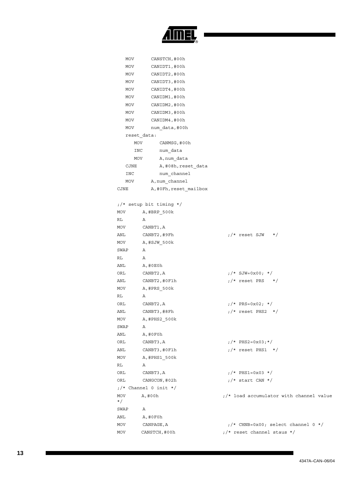

| MOV          | CANSTCH, #00h                      |                                            |  |  |
|--------------|------------------------------------|--------------------------------------------|--|--|
| MOV          | CANIDT1, #00h                      |                                            |  |  |
| MOV          | CANIDT2, #00h                      |                                            |  |  |
| MOV          | CANIDT3, #00h                      |                                            |  |  |
| MOV          | CANIDT4, #00h                      |                                            |  |  |
| MOV          | CANIDM1, #00h                      |                                            |  |  |
| MOV          | CANIDM2, #00h                      |                                            |  |  |
| MOV          | CANIDM3, #00h                      |                                            |  |  |
| MOV          | CANIDM4, #00h                      |                                            |  |  |
| MOV          | num data,#00h                      |                                            |  |  |
| reset data:  |                                    |                                            |  |  |
| MOV          | CANMSG, #00h                       |                                            |  |  |
| INC          | num data                           |                                            |  |  |
| MOV          | A, num data                        |                                            |  |  |
| CJNE         | A,#08h, reset data                 |                                            |  |  |
| INC          | num channel                        |                                            |  |  |
| MOV          | A, num channel                     |                                            |  |  |
| CJNE         | A, #0Fh, reset mailbox             |                                            |  |  |
|              |                                    |                                            |  |  |
|              | ;/* setup bit timing */            |                                            |  |  |
| MOV          | A, #BRP 500k                       |                                            |  |  |
| RL           | Α                                  |                                            |  |  |
| MOV          | CANBT1, A                          |                                            |  |  |
| ANL          | CANBT2, #9Fh                       | ;/* reset SJW<br>$\star/$                  |  |  |
| MOV          | A, #SJW 500k                       |                                            |  |  |
| SWAP         | Α                                  |                                            |  |  |
| RL           | Α                                  |                                            |  |  |
| ANL          | A,#0E0h                            |                                            |  |  |
| ORL          | CANBT2, A                          | $1/ *$ SJW=0x00; */                        |  |  |
| ANL          | CANBT2, #0F1h                      | $1/$ * reset PRS */                        |  |  |
| MOV          | A, #PRS 500k                       |                                            |  |  |
| RL           | Α                                  |                                            |  |  |
| ORL          | CANBT2, A                          | $7$ /* PRS=0x02; */                        |  |  |
| ANL          | CANBT3, #8Fh                       | $\frac{1}{x}$ reset PHS2 $\frac{x}{x}$     |  |  |
| MOV          | $A$ , #PHS2_500 $k$                |                                            |  |  |
| SWAP         | Α                                  |                                            |  |  |
| ANL          | A,#0F0h                            |                                            |  |  |
| ORL          | CANBT3, A                          | $:$ /* PHS2=0x03;*/                        |  |  |
| ANL          | CANBT3,#0F1h                       | $t$ /* reset PHS1 */                       |  |  |
| MOV          | A, #PHS1_500k                      |                                            |  |  |
| RL           | Α                                  |                                            |  |  |
| ORL          | $1/*/$ PHS1=0x03 $*/$<br>CANBT3, A |                                            |  |  |
| ORL          | CANGCON, #02h                      | $1/$ * start CAN */                        |  |  |
|              | $\frac{1}{2}$ /* Channel 0 init */ |                                            |  |  |
| MOV<br>$^*/$ | A,#00h                             | $1/$ * load accumulator with channel value |  |  |
| SWAP         | Α                                  |                                            |  |  |
| ANL          | $A$ , #0 $F$ 0 $h$                 |                                            |  |  |
| MOV          | CANPAGE, A                         | $1/$ * CHNB=0x00; select channel 0 */      |  |  |
| MOV          | CANSTCH, #00h                      | $1/$ * reset channel staus */              |  |  |
|              |                                    |                                            |  |  |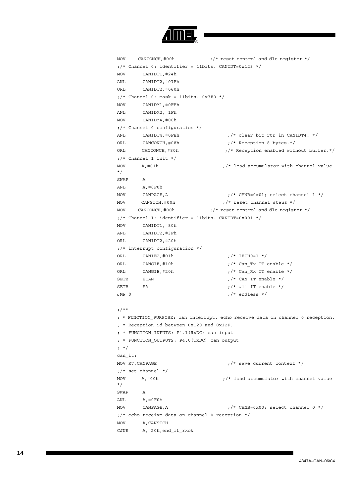

```
MOV CANCONCH, #00h ; /* reset control and dlc reqister */
;/* Channel 0: identifier = 11bits. CANIDT=0x123 */
MOV CANIDT1,#24h
ANL CANIDT2,#07Fh
ORL CANIDT2,#060h
;/* Channel 0: mask = 11bits. 0x7F0 */
MOV CANIDM1,#0FEh
ANL CANIDM2,#1Fh
MOV CANIDM4,#00h
;/* Channel 0 configuration */
ANL CANIDT4, #0FBh \frac{1}{x} ;/* clear bit rtr in CANIDT4. */
ORL CANCONCH, #08h ;/* Reception 8 bytes.*/
ORL CANCONCH,#80h ;/* Reception enabled without buffer.*/
;/* Channel 1 init */
MOV A,#01h ;/* load accumulator with channel value 
*/
SWAP A
ANL A,#0F0h
MOV CANPAGE, A \frac{1}{x} /* CHNB=0x01; select channel 1 */
MOV CANSTCH, #00h \frac{1}{x} is the channel staus \frac{x}{x}MOV CANCONCH, #00h ; /* reset control and dlc register */
;/* Channel 1: identifier = 11bits. CANIDT=0x001 */
MOV CANIDT1,#80h
ANL CANIDT2,#3Fh
ORL CANIDT2,#20h
;/* interrupt configuration */
ORL CANIE2, \#01h ;/* IECH0=1 */
ORL CANGIE, #10h \frac{1}{x} ;/* Can Tx IT enable */
ORL CANGIE, #20h \frac{1}{\sqrt{2}} ;/* Can Rx IT enable */
SETB ECAN \mathsf{FCAN} \mathsf{TCAN} \mathsf{TCAN} \mathsf{TCAN} \mathsf{TCAN} \mathsf{TCAN}SETB EA ;/* all IT enable */JMP \zeta ;/* endless */
;/**
; * FUNCTION PURPOSE: can interrupt. echo receive data on channel 0 reception.
; * Reception id between 0x120 and 0x12F.
; * FUNCTION_INPUTS: P4.1(RxDC) can input
; * FUNCTION_OUTPUTS: P4.0(TxDC) can output 
; */
can_it:
MOV R7, CANPAGE \frac{1}{x} is the current context \frac{x}{x};/* set channel */MOV A, #00h \qquad \qquad \qquad ;/* load accumulator with channel value
*/
SWAP A
ANL A,#0F0h
MOV CANPAGE, A \frac{1}{x} \frac{1}{x} CHNB=0x00; select channel 0 \frac{x}{x};/* echo receive data on channel 0 reception */
MOV A, CANSTCH
CJNE A,#20h, end if rxok
```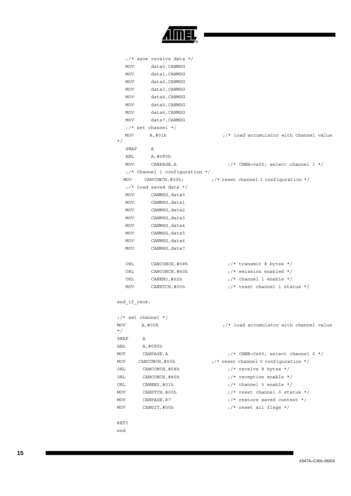

|            | $\frac{1}{2}$ save receive data */           |                                                |  |  |  |  |
|------------|----------------------------------------------|------------------------------------------------|--|--|--|--|
| MOV        | data0, CANMSG                                |                                                |  |  |  |  |
| MOV        | data1, CANMSG                                |                                                |  |  |  |  |
| MOV        | data2, CANMSG                                |                                                |  |  |  |  |
| MOV        | data3, CANMSG                                |                                                |  |  |  |  |
| MOV        | data4, CANMSG                                |                                                |  |  |  |  |
| MOV        | data5, CANMSG                                |                                                |  |  |  |  |
| MOV        | data6, CANMSG                                |                                                |  |  |  |  |
| MOV        | data7, CANMSG                                |                                                |  |  |  |  |
|            | $1$ $\star$ set channel $\star$ /            |                                                |  |  |  |  |
| MOV        | A,#01h                                       | $1/$ * load accumulator with channel value     |  |  |  |  |
| $\star/$   |                                              |                                                |  |  |  |  |
| SWAP       | Α                                            |                                                |  |  |  |  |
| ANL        | A,#0F0h                                      |                                                |  |  |  |  |
| MOV        | CANPAGE, A                                   | $\frac{1}{2}$ CHNB=0x00; select channel 1 */   |  |  |  |  |
|            | $\frac{1}{2}$ Channel 1 configuration */     |                                                |  |  |  |  |
| MOV        | CANCONCH, #00h;                              | $\frac{1}{2}$ reset channel 1 configuration */ |  |  |  |  |
|            | $1/$ * load saved data */                    |                                                |  |  |  |  |
| MOV        | CANMSG, data0                                |                                                |  |  |  |  |
| MOV        | CANMSG, data1                                |                                                |  |  |  |  |
| MOV        | CANMSG, data2                                |                                                |  |  |  |  |
| MOV        | CANMSG, data3                                |                                                |  |  |  |  |
| MOV        | CANMSG, data4                                |                                                |  |  |  |  |
| MOV        | CANMSG, data5                                |                                                |  |  |  |  |
| MOV        | CANMSG, data6                                |                                                |  |  |  |  |
| MOV        | CANMSG, data7                                |                                                |  |  |  |  |
|            |                                              |                                                |  |  |  |  |
| ORL        | CANCONCH, #08h                               | $\frac{1}{x}$ transmit 8 bytes */              |  |  |  |  |
| ORL        | CANCONCH, #40h                               | $1/$ * emission enabled */                     |  |  |  |  |
| ORL        | CANEN2, #02h                                 | $\frac{1}{2}$ channel 1 enable */              |  |  |  |  |
| MOV        | CANSTCH,#00h                                 | $1.7*$ reset channel 1 status */               |  |  |  |  |
|            |                                              |                                                |  |  |  |  |
|            | end if rxok:                                 |                                                |  |  |  |  |
|            |                                              |                                                |  |  |  |  |
|            | $1/$ * set channel */                        |                                                |  |  |  |  |
| <b>MOV</b> | A,#00h                                       | $1/$ * load accumulator with channel value     |  |  |  |  |
| $\star/$   |                                              |                                                |  |  |  |  |
| SWAP       | Α                                            |                                                |  |  |  |  |
| ANL        | $A$ , #0 $F$ 0h                              |                                                |  |  |  |  |
| MOV        | CANPAGE, A                                   | $t$ /* CHNB=0x00; select channel 0 */          |  |  |  |  |
| MOV        | CANCONCH, #00h                               | $1/$ * reset channel 0 configuration */        |  |  |  |  |
| ORL        | $1/$ * receive 8 bytes */<br>CANCONCH, #08h  |                                                |  |  |  |  |
| ORL        | $1/$ * reception enable */<br>CANCONCH, #80h |                                                |  |  |  |  |
| ORL        | CANEN2, #01h                                 | $1/$ * channel 0 enable */                     |  |  |  |  |
| MOV        | CANSTCH, #00h                                | $1/$ * reset channel 0 status */               |  |  |  |  |
| MOV        | CANPAGE, R7                                  | $1/$ * restore saved context */                |  |  |  |  |
| MOV        | CANGIT, #00h                                 | $\frac{1}{2}$ reset all flags */               |  |  |  |  |
|            |                                              |                                                |  |  |  |  |
| RETI       |                                              |                                                |  |  |  |  |

end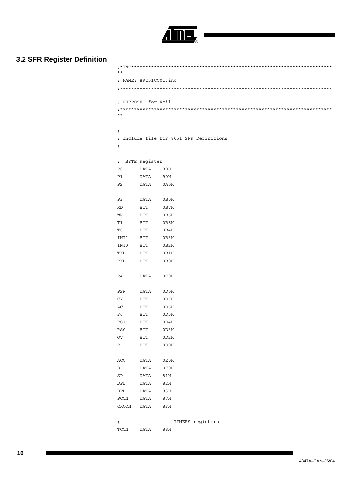

## **3.2 SFR Register Definition**

| $***$                 |
|-----------------------|
| : NAME: 89C51CC01.inc |
|                       |
| : PURPOSE: for Keil   |
| $***$                 |

;----------------------------------------

; Include file for 8051 SFR Definitions

;----------------------------------------

|              | ; BYTE Register                                                   |                                                             |
|--------------|-------------------------------------------------------------------|-------------------------------------------------------------|
|              | P0 DATA 80H                                                       |                                                             |
|              | P1 DATA 90H                                                       |                                                             |
|              | P2 DATA 0A0H                                                      |                                                             |
|              |                                                                   |                                                             |
|              | P3 DATA 0B0H                                                      |                                                             |
| <b>RD</b>    | <b>BIT</b>                                                        | 0B7H                                                        |
| WR           | BIT                                                               | 0B6H                                                        |
| T1           | BIT                                                               | 0B5H                                                        |
| T0           | BIT                                                               | 0B4H                                                        |
| INT1         | BIT                                                               | 0B3H                                                        |
| INTO         | BIT                                                               | 0B2H                                                        |
| TXD          | BIT 0B1H                                                          |                                                             |
|              | RXD BIT 0B0H                                                      |                                                             |
|              |                                                                   |                                                             |
|              | P4 DATA OCOH                                                      |                                                             |
|              |                                                                   |                                                             |
|              | PSW DATA 0D0H                                                     |                                                             |
|              | CY BIT OD7H                                                       |                                                             |
|              | $\begin{tabular}{llll} \bf AC & \tt BIT & \tt 0D6H \end{tabular}$ |                                                             |
|              | F0 BIT 0D5H                                                       |                                                             |
|              | RS1 BIT 0D4H                                                      |                                                             |
| RS0          | BIT                                                               | 0D3H                                                        |
| OV           | BIT                                                               | 0D2H                                                        |
| P            | BIT                                                               | 0D0H                                                        |
|              |                                                                   |                                                             |
|              | ACC DATA 0E0H                                                     |                                                             |
| $\mathbf{B}$ | DATA                                                              | $0$ F $0$ H                                                 |
| SP           | DATA 81H                                                          |                                                             |
|              | DPL DATA 82H                                                      |                                                             |
|              | DPH DATA 83H                                                      |                                                             |
|              | PCON DATA 87H                                                     |                                                             |
|              | CKCON DATA 8FH                                                    |                                                             |
|              |                                                                   |                                                             |
|              |                                                                   | ; ------------------ TIMERS registers --------------------- |
|              | TCON DATA 88H                                                     |                                                             |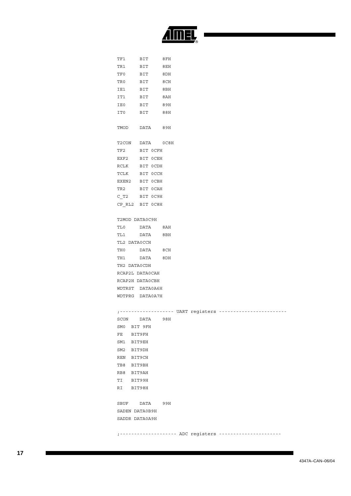

|              | TF1 BIT 8FH     |      |                                                         |  |
|--------------|-----------------|------|---------------------------------------------------------|--|
| TR1          | <b>BIT</b>      | 8 EH |                                                         |  |
| TF0          | <b>BIT</b>      | 8DH  |                                                         |  |
|              | TRO BIT 8CH     |      |                                                         |  |
|              | IE1 BIT 8BH     |      |                                                         |  |
|              | IT1 BIT 8AH     |      |                                                         |  |
|              | IE0 BIT 89H     |      |                                                         |  |
|              | ITO BIT         | 88H  |                                                         |  |
|              | TMOD DATA 89H   |      |                                                         |  |
|              | T2CON DATA 0C8H |      |                                                         |  |
|              | TF2 BIT OCFH    |      |                                                         |  |
|              | EXF2 BIT OCEH   |      |                                                         |  |
|              | RCLK BIT OCDH   |      |                                                         |  |
|              | TCLK BIT OCCH   |      |                                                         |  |
|              | EXEN2 BIT OCBH  |      |                                                         |  |
|              | TR2 BIT OCAH    |      |                                                         |  |
|              | C T2 BIT OC9H   |      |                                                         |  |
|              | CP RL2 BIT OC8H |      |                                                         |  |
|              | T2MOD DATA0C9H  |      |                                                         |  |
|              | TL0 DATA 8AH    |      |                                                         |  |
|              | TL1 DATA 8BH    |      |                                                         |  |
| TL2 DATAOCCH |                 |      |                                                         |  |
|              | THO DATA 8CH    |      |                                                         |  |
|              | TH1 DATA 8DH    |      |                                                         |  |
| TH2 DATA0CDH |                 |      |                                                         |  |
|              | RCAP2L DATA0CAH |      |                                                         |  |
|              | RCAP2H DATA0CBH |      |                                                         |  |
|              | WDTRST DATA0A6H |      |                                                         |  |
|              | WDTPRG DATA0A7H |      |                                                         |  |
|              |                 |      |                                                         |  |
| SCON DATA    |                 | 98H  |                                                         |  |
| SMO BIT 9FH  |                 |      |                                                         |  |
| FE BIT9FH    |                 |      |                                                         |  |
| SM1 BIT9EH   |                 |      |                                                         |  |
| SM2 BIT9DH   |                 |      |                                                         |  |
| REN BIT9CH   |                 |      |                                                         |  |
| TB8 BIT9BH   |                 |      |                                                         |  |
| RB8 BIT9AH   |                 |      |                                                         |  |
| TI BIT99H    |                 |      |                                                         |  |
| RI BIT98H    |                 |      |                                                         |  |
|              | SBUF DATA 99H   |      |                                                         |  |
|              | SADEN DATA0B9H  |      |                                                         |  |
|              | SADDR DATA0A9H  |      |                                                         |  |
|              |                 |      | ; ------------------- ADC registers ------------------- |  |
|              |                 |      |                                                         |  |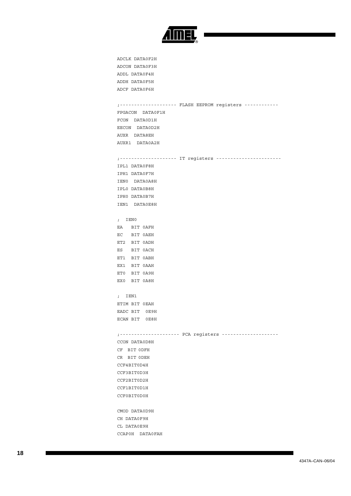

```
ADCLK DATA0F2H
ADCON DATA0F3H
ADDL DATA0F4H
ADDH DATA0F5H
ADCF DATA0F6H
;-------------------- FLASH EEPROM registers ------------
FPGACON DATA0F1H
FCON DATA0D1H
EECON DATA0D2H
AUXR DATA8EH
AUXR1 DATA0A2H
;-------------------- IT registers -----------------------
IPL1 DATA0F8H
IPH1 DATA0F7H
IEN0 DATA0A8H
IPL0 DATA0B8H
IPH0 DATA0B7H
IEN1 DATA0E8H
; IEN0 
EA BIT 0AFH
EC BIT 0AEH
ET2 BIT 0ADH
ES BIT 0ACH
ET1 BIT 0ABH
EX1 BIT 0AAH
ET0 BIT 0A9H
EX0 BIT 0A8H
; IEN1 
ETIM BIT 0EAH
EADC BIT 0E9H
ECAN BIT 0E8H
;--------------------- PCA registers --------------------
CCON DATA0D8H
CF BIT 0DFH
CR BIT 0DEH
CCF4BIT0D4H
CCF3BIT0D3H
CCF2BIT0D2H
CCF1BIT0D1H
CCF0BIT0D0H
CMOD DATA0D9H
CH DATA0F9H
CL DATA0E9H
CCAP0H DATA0FAH
```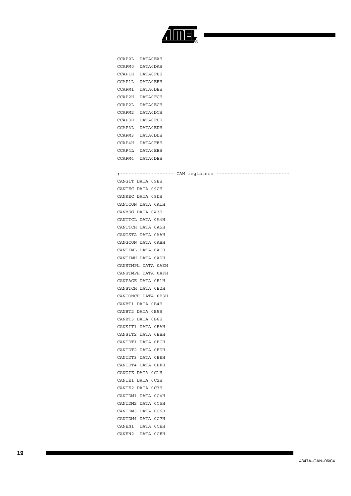

| CCAPOL | DATAORAH |
|--------|----------|
| CCAPM0 | DATA0DAH |
| CCAP1H | DATA0FBH |
| CCAP1L | DATA0EBH |
| CCAPM1 | DATA0DBH |
| CCAP2H | DATA0FCH |
| CCAP2L | DATA0ECH |
| CCAPM2 | DATA0DCH |
| CCAP3H | DATA0FDH |
| CCAP3L | DATA0EDH |
| CCAPM3 | DATA0DDH |
| CCAP4H | DATA0FEH |
| CCAP4L | DATA0EEH |
| CCAPM4 | DATA0DEH |

#### ;------------------- CAN registers --------------------------

CANGIT DATA 09BH CANTEC DATA 09CH CANREC DATA 09DH CANTCON DATA 0A1H CANMSG DATA 0A3H CANTTCL DATA 0A4H CANTTCH DATA 0A5H CANGSTA DATA 0AAH CANGCON DATA 0ABH CANTIML DATA 0ACH CANTIMH DATA 0ADH CANSTMPL DATA 0AEH CANSTMPH DATA 0AFH CANPAGE DATA 0B1H CANSTCH DATA 0B2H CANCONCH DATA 0B3H CANBT1 DATA 0B4H CANBT2 DATA 0B5H CANBT3 DATA 0B6H CANSIT1 DATA 0BAH CANSIT2 DATA 0BBH CANIDT1 DATA 0BCH CANIDT2 DATA 0BDH CANIDT3 DATA 0BEH CANIDT4 DATA 0BFH CANGIE DATA 0C1H CANIE1 DATA 0C2H CANIE2 DATA 0C3H CANIDM1 DATA 0C4H CANIDM2 DATA 0C5H CANIDM3 DATA 0C6H CANIDM4 DATA 0C7H CANEN1 DATA 0CEH CANEN2 DATA 0CFH